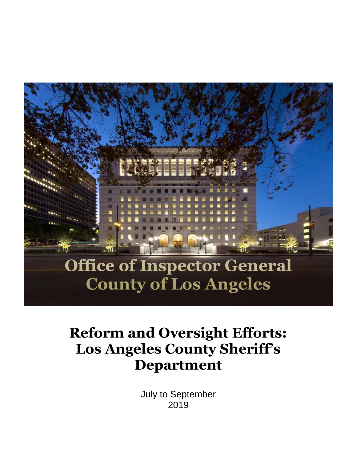

# **Reform and Oversight Efforts: Los Angeles County Sheriff's Department**

July to September 2019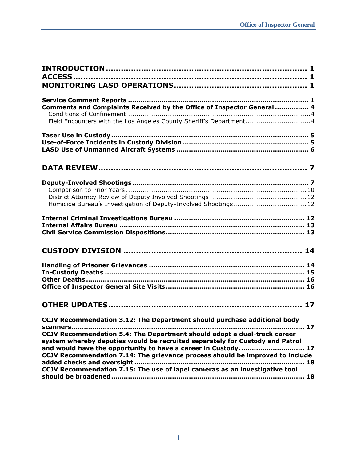| Comments and Complaints Received by the Office of Inspector General 4<br>Field Encounters with the Los Angeles County Sheriff's Department4                                                                                                                                                                                                                                            |
|----------------------------------------------------------------------------------------------------------------------------------------------------------------------------------------------------------------------------------------------------------------------------------------------------------------------------------------------------------------------------------------|
|                                                                                                                                                                                                                                                                                                                                                                                        |
|                                                                                                                                                                                                                                                                                                                                                                                        |
| Homicide Bureau's Investigation of Deputy-Involved Shootings 12                                                                                                                                                                                                                                                                                                                        |
|                                                                                                                                                                                                                                                                                                                                                                                        |
|                                                                                                                                                                                                                                                                                                                                                                                        |
|                                                                                                                                                                                                                                                                                                                                                                                        |
| CCJV Recommendation 3.12: The Department should purchase additional body<br>CCJV Recommendation 5.4: The Department should adopt a dual-track career<br>system whereby deputies would be recruited separately for Custody and Patrol<br>and would have the opportunity to have a career in Custody 17<br>CCJV Recommendation 7.14: The grievance process should be improved to include |
| CCJV Recommendation 7.15: The use of lapel cameras as an investigative tool                                                                                                                                                                                                                                                                                                            |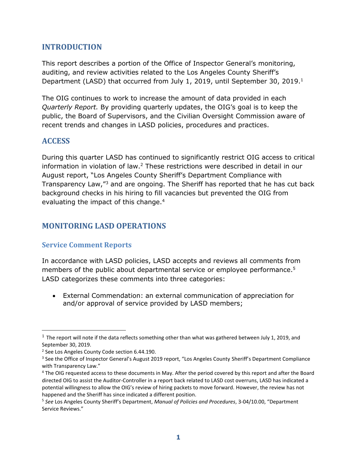## <span id="page-2-0"></span>**INTRODUCTION**

This report describes a portion of the Office of Inspector General's monitoring, auditing, and review activities related to the Los Angeles County Sheriff's Department (LASD) that occurred from July 1, 2019, until September 30, 2019.<sup>1</sup>

The OIG continues to work to increase the amount of data provided in each *Quarterly Report.* By providing quarterly updates, the OIG's goal is to keep the public, the Board of Supervisors, and the Civilian Oversight Commission aware of recent trends and changes in LASD policies, procedures and practices.

### <span id="page-2-1"></span>**ACCESS**

j

During this quarter LASD has continued to significantly restrict OIG access to critical information in violation of law. $2$  These restrictions were described in detail in our August report, "Los Angeles County Sheriff's Department Compliance with Transparency Law,"<sup>3</sup> and are ongoing. The Sheriff has reported that he has cut back background checks in his hiring to fill vacancies but prevented the OIG from evaluating the impact of this change. 4

## <span id="page-2-2"></span>**MONITORING LASD OPERATIONS**

#### <span id="page-2-3"></span>**Service Comment Reports**

In accordance with LASD policies, LASD accepts and reviews all comments from members of the public about departmental service or employee performance.<sup>5</sup> LASD categorizes these comments into three categories:

• External Commendation: an external communication of appreciation for and/or approval of service provided by LASD members;

 $1$  The report will note if the data reflects something other than what was gathered between July 1, 2019, and September 30, 2019.

<sup>&</sup>lt;sup>2</sup> See Los Angeles County Code section 6.44.190.

<sup>&</sup>lt;sup>3</sup> See the Office of Inspector General's August 2019 report, "Los Angeles County Sheriff's Department Compliance with Transparency Law."

<sup>4</sup> The OIG requested access to these documents in May. After the period covered by this report and after the Board directed OIG to assist the Auditor-Controller in a report back related to LASD cost overruns, LASD has indicated a potential willingness to allow the OIG's review of hiring packets to move forward. However, the review has not happened and the Sheriff has since indicated a different position.

<sup>5</sup> *See* Los Angeles County Sheriff's Department, *Manual of Policies and Procedures*, 3-04/10.00, "Department Service Reviews."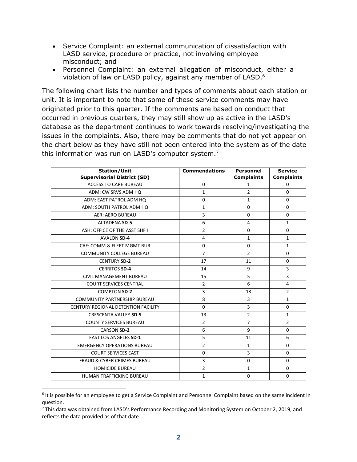- Service Complaint: an external communication of dissatisfaction with LASD service, procedure or practice, not involving employee misconduct; and
- Personnel Complaint: an external allegation of misconduct, either a violation of law or LASD policy, against any member of LASD.<sup>6</sup>

The following chart lists the number and types of comments about each station or unit. It is important to note that some of these service comments may have originated prior to this quarter. If the comments are based on conduct that occurred in previous quarters, they may still show up as active in the LASD's database as the department continues to work towards resolving/investigating the issues in the complaints. Also, there may be comments that do not yet appear on the chart below as they have still not been entered into the system as of the date this information was run on LASD's computer system.<sup>7</sup>

| <b>Station/Unit</b>                    | <b>Commendations</b> | <b>Personnel</b>  | <b>Service</b>    |
|----------------------------------------|----------------------|-------------------|-------------------|
| <b>Supervisorial District (SD)</b>     |                      | <b>Complaints</b> | <b>Complaints</b> |
| <b>ACCESS TO CARE BUREAU</b>           | 0                    | $\mathbf{1}$      | 0                 |
| ADM: CW SRVS ADM HQ                    | $\mathbf{1}$         | $\overline{2}$    | $\Omega$          |
| ADM: EAST PATROL ADM HQ                | $\Omega$             | $\mathbf{1}$      | $\Omega$          |
| ADM: SOUTH PATROL ADM HQ               | 1                    | $\Omega$          | 0                 |
| <b>AER: AERO BUREAU</b>                | 3                    | $\Omega$          | $\Omega$          |
| <b>ALTADENA SD-5</b>                   | 6                    | $\overline{4}$    | $\mathbf{1}$      |
| ASH: OFFICE OF THE ASST SHF I          | $\overline{2}$       | 0                 | 0                 |
| <b>AVALON SD-4</b>                     | $\overline{4}$       | $\mathbf{1}$      | $\mathbf{1}$      |
| CAF: COMM & FLEET MGMT BUR             | $\Omega$             | $\Omega$          | $\mathbf{1}$      |
| <b>COMMUNITY COLLEGE BUREAU</b>        | $\overline{7}$       | $\overline{2}$    | 0                 |
| <b>CENTURY SD-2</b>                    | 17                   | 11                | $\Omega$          |
| <b>CERRITOS SD-4</b>                   | 14                   | 9                 | 3                 |
| CIVIL MANAGEMENT BUREAU                | 15                   | 5                 | 3                 |
| <b>COURT SERVICES CENTRAL</b>          | $\overline{2}$       | 6                 | $\overline{4}$    |
| <b>COMPTON SD-2</b>                    | 3                    | 13                | $\overline{2}$    |
| <b>COMMUNITY PARTNERSHIP BUREAU</b>    | 8                    | $\overline{3}$    | $\mathbf{1}$      |
| CENTURY REGIONAL DETENTION FACILITY    | $\Omega$             | 3                 | 0                 |
| <b>CRESCENTA VALLEY SD-5</b>           | 13                   | $\overline{2}$    | $\mathbf{1}$      |
| <b>COUNTY SERVICES BUREAU</b>          | $\overline{2}$       | $\overline{7}$    | $\overline{2}$    |
| <b>CARSON SD-2</b>                     | 6                    | 9                 | 0                 |
| <b>EAST LOS ANGELES SD-1</b>           | 5                    | 11                | 6                 |
| <b>EMERGENCY OPERATIONS BUREAU</b>     | $\overline{2}$       | $\mathbf{1}$      | $\Omega$          |
| <b>COURT SERVICES EAST</b>             | 0                    | 3                 | 0                 |
| <b>FRAUD &amp; CYBER CRIMES BUREAU</b> | 3                    | $\Omega$          | $\Omega$          |
| <b>HOMICIDE BUREAU</b>                 | $\overline{2}$       | $\mathbf{1}$      | $\Omega$          |
| <b>HUMAN TRAFFICKING BUREAU</b>        | 1                    | 0                 | 0                 |

<sup>&</sup>lt;sup>6</sup> It is possible for an employee to get a Service Complaint and Personnel Complaint based on the same incident in question.

j

<sup>&</sup>lt;sup>7</sup> This data was obtained from LASD's Performance Recording and Monitoring System on October 2, 2019, and reflects the data provided as of that date.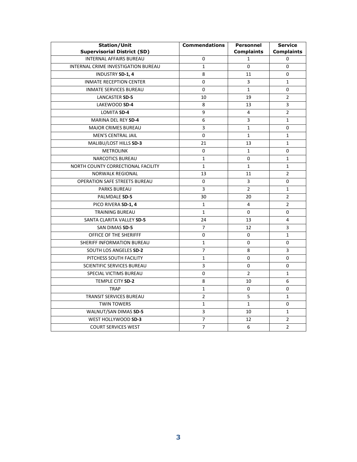<span id="page-4-0"></span>

| <b>Station/Unit</b>                  | <b>Commendations</b> | Personnel         | <b>Service</b>    |
|--------------------------------------|----------------------|-------------------|-------------------|
| <b>Supervisorial District (SD)</b>   |                      | <b>Complaints</b> | <b>Complaints</b> |
| <b>INTERNAL AFFAIRS BUREAU</b>       | 0                    | $\mathbf{1}$      | 0                 |
| INTERNAL CRIME INVESTIGATION BUREAU  | $\mathbf{1}$         | $\Omega$          | 0                 |
| INDUSTRY SD-1, 4                     | 8                    | 11                | 0                 |
| <b>INMATE RECEPTION CENTER</b>       | 0                    | 3                 | $\mathbf{1}$      |
| <b>INMATE SERVICES BUREAU</b>        | 0                    | $\mathbf{1}$      | 0                 |
| LANCASTER SD-5                       | 10                   | 19                | 2                 |
| LAKEWOOD SD-4                        | 8                    | 13                | 3                 |
| <b>LOMITA SD-4</b>                   | 9                    | 4                 | $\overline{2}$    |
| MARINA DEL REY SD-4                  | 6                    | 3                 | $\mathbf{1}$      |
| <b>MAJOR CRIMES BUREAU</b>           | 3                    | $\mathbf{1}$      | 0                 |
| MEN'S CENTRAL JAIL                   | 0                    | $\mathbf{1}$      | $\mathbf{1}$      |
| MALIBU/LOST HILLS SD-3               | 21                   | 13                | $\mathbf{1}$      |
| <b>METROLINK</b>                     | 0                    | $\mathbf{1}$      | 0                 |
| <b>NARCOTICS BUREAU</b>              | $\mathbf{1}$         | $\Omega$          | $\mathbf{1}$      |
| NORTH COUNTY CORRECTIONAL FACILITY   | $\mathbf{1}$         | $\mathbf{1}$      | $\mathbf{1}$      |
| <b>NORWALK REGIONAL</b>              | 13                   | 11                | $\overline{2}$    |
| <b>OPERATION SAFE STREETS BUREAU</b> | 0                    | 3                 | 0                 |
| <b>PARKS BUREAU</b>                  | 3                    | $\overline{2}$    | $\mathbf{1}$      |
| PALMDALE SD-5                        | 30                   | 20                | $\overline{2}$    |
| PICO RIVERA SD-1, 4                  | $\mathbf{1}$         | 4                 | $\overline{2}$    |
| <b>TRAINING BUREAU</b>               | $\mathbf{1}$         | 0                 | 0                 |
| SANTA CLARITA VALLEY SD-5            | 24                   | 13                | 4                 |
| SAN DIMAS SD-5                       | 7                    | 12                | 3                 |
| OFFICE OF THE SHERIFFF               | 0                    | 0                 | $\mathbf{1}$      |
| SHERIFF INFORMATION BUREAU           | 1                    | 0                 | 0                 |
| SOUTH LOS ANGELES SD-2               | $\overline{7}$       | 8                 | 3                 |
| PITCHESS SOUTH FACILITY              | $\mathbf{1}$         | 0                 | 0                 |
| <b>SCIENTIFIC SERVICES BUREAU</b>    | 3                    | 0                 | 0                 |
| SPECIAL VICTIMS BUREAU               | 0                    | $\overline{2}$    | $\mathbf{1}$      |
| TEMPLE CITY SD-2                     | 8                    | 10                | 6                 |
| <b>TRAP</b>                          | $\mathbf{1}$         | 0                 | 0                 |
| TRANSIT SERVICES BUREAU              | $\overline{2}$       | 5                 | $\mathbf{1}$      |
| <b>TWIN TOWERS</b>                   | $\mathbf{1}$         | $\mathbf{1}$      | 0                 |
| WALNUT/SAN DIMAS SD-5                | 3                    | 10                | $\mathbf{1}$      |
| WEST HOLLYWOOD SD-3                  | $\overline{7}$       | 12                | $\overline{2}$    |
| <b>COURT SERVICES WEST</b>           | $\overline{7}$       | 6                 | $\overline{2}$    |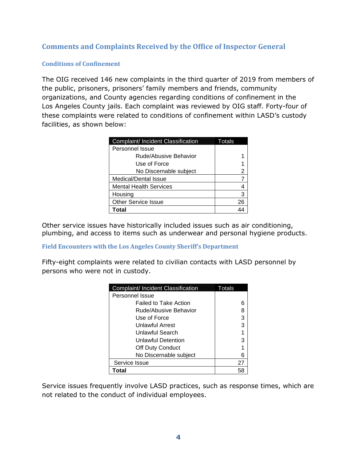## **Comments and Complaints Received by the Office of Inspector General**

#### <span id="page-5-0"></span>**Conditions of Confinement**

The OIG received 146 new complaints in the third quarter of 2019 from members of the public, prisoners, prisoners' family members and friends, community organizations, and County agencies regarding conditions of confinement in the Los Angeles County jails. Each complaint was reviewed by OIG staff. Forty-four of these complaints were related to conditions of confinement within LASD's custody facilities, as shown below:

| Complaint/ Incident Classification | Totals |
|------------------------------------|--------|
| Personnel Issue                    |        |
| Rude/Abusive Behavior              |        |
| Use of Force                       |        |
| No Discernable subject             |        |
| Medical/Dental Issue               |        |
| <b>Mental Health Services</b>      |        |
| Housing                            | 3      |
| <b>Other Service Issue</b>         | 26     |
| <b>Total</b>                       |        |

Other service issues have historically included issues such as air conditioning, plumbing, and access to items such as underwear and personal hygiene products.

<span id="page-5-1"></span>**Field Encounters with the Los Angeles County Sheriff's Department**

Fifty-eight complaints were related to civilian contacts with LASD personnel by persons who were not in custody.

| Complaint/ Incident Classification | Totals |
|------------------------------------|--------|
| Personnel Issue                    |        |
| <b>Failed to Take Action</b>       |        |
| Rude/Abusive Behavior              |        |
| Use of Force                       | 3      |
| Unlawful Arrest                    | з      |
| Unlawful Search                    |        |
| <b>Unlawful Detention</b>          | З      |
| Off Duty Conduct                   |        |
| No Discernable subject             | 6      |
| Service Issue                      | 27     |
| Total                              |        |

Service issues frequently involve LASD practices, such as response times, which are not related to the conduct of individual employees.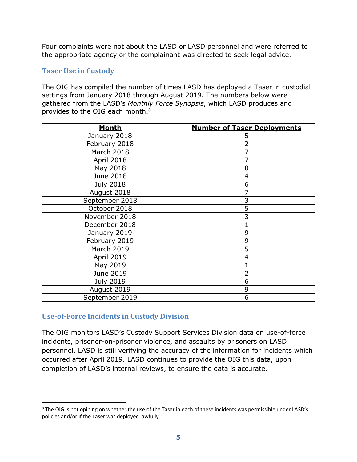Four complaints were not about the LASD or LASD personnel and were referred to the appropriate agency or the complainant was directed to seek legal advice.

#### <span id="page-6-0"></span>**Taser Use in Custody**

The OIG has compiled the number of times LASD has deployed a Taser in custodial settings from January 2018 through August 2019. The numbers below were gathered from the LASD's *Monthly Force Synopsis*, which LASD produces and provides to the OIG each month.<sup>8</sup>

| <b>Month</b>      | <b>Number of Taser Deployments</b> |
|-------------------|------------------------------------|
| January 2018      | 5                                  |
| February 2018     | 2                                  |
| March 2018        | 7                                  |
| April 2018        |                                    |
| May 2018          | 0                                  |
| June 2018         | $\overline{4}$                     |
| <b>July 2018</b>  | 6                                  |
| August 2018       | 7                                  |
| September 2018    | 3                                  |
| October 2018      | 5                                  |
| November 2018     | 3                                  |
| December 2018     |                                    |
| January 2019      | 9                                  |
| February 2019     | 9                                  |
| <b>March 2019</b> | 5                                  |
| April 2019        | $\overline{4}$                     |
| May 2019          | 1                                  |
| June 2019         | 2                                  |
| <b>July 2019</b>  | 6                                  |
| August 2019       | 9                                  |
| September 2019    | 6                                  |

#### <span id="page-6-1"></span>**Use-of-Force Incidents in Custody Division**

j

The OIG monitors LASD's Custody Support Services Division data on use-of-force incidents, prisoner-on-prisoner violence, and assaults by prisoners on LASD personnel. LASD is still verifying the accuracy of the information for incidents which occurred after April 2019. LASD continues to provide the OIG this data, upon completion of LASD's internal reviews, to ensure the data is accurate.

<sup>&</sup>lt;sup>8</sup> The OIG is not opining on whether the use of the Taser in each of these incidents was permissible under LASD's policies and/or if the Taser was deployed lawfully.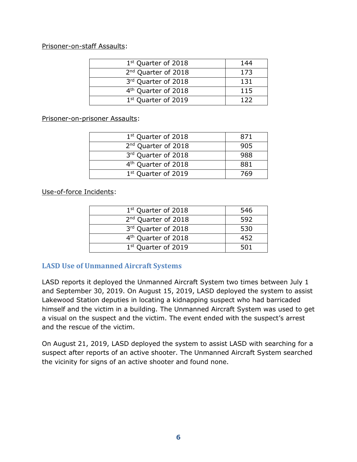#### Prisoner-on-staff Assaults:

| 1 <sup>st</sup> Quarter of 2018 | 144   |
|---------------------------------|-------|
| 2 <sup>nd</sup> Quarter of 2018 | 173   |
| 3rd Quarter of 2018             | 131   |
| 4 <sup>th</sup> Quarter of 2018 | 115   |
| 1 <sup>st</sup> Quarter of 2019 | 1 2 2 |

#### Prisoner-on-prisoner Assaults:

| 1 <sup>st</sup> Quarter of 2018 | 871 |
|---------------------------------|-----|
| 2 <sup>nd</sup> Quarter of 2018 | 905 |
| 3rd Quarter of 2018             | 988 |
| 4 <sup>th</sup> Quarter of 2018 | 881 |
| 1 <sup>st</sup> Quarter of 2019 | 769 |

Use-of-force Incidents:

| 1st Quarter of 2018             | 546 |
|---------------------------------|-----|
| 2 <sup>nd</sup> Quarter of 2018 | 592 |
| 3rd Quarter of 2018             | 530 |
| 4 <sup>th</sup> Quarter of 2018 | 452 |
| 1 <sup>st</sup> Quarter of 2019 | 501 |

## <span id="page-7-0"></span>**LASD Use of Unmanned Aircraft Systems**

LASD reports it deployed the Unmanned Aircraft System two times between July 1 and September 30, 2019. On August 15, 2019, LASD deployed the system to assist Lakewood Station deputies in locating a kidnapping suspect who had barricaded himself and the victim in a building. The Unmanned Aircraft System was used to get a visual on the suspect and the victim. The event ended with the suspect's arrest and the rescue of the victim.

On August 21, 2019, LASD deployed the system to assist LASD with searching for a suspect after reports of an active shooter. The Unmanned Aircraft System searched the vicinity for signs of an active shooter and found none.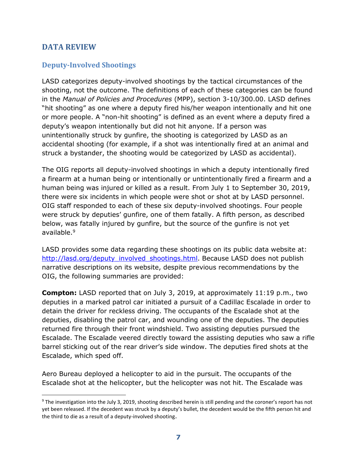## <span id="page-8-0"></span>**DATA REVIEW**

 $\overline{a}$ 

### <span id="page-8-1"></span>**Deputy-Involved Shootings**

LASD categorizes deputy-involved shootings by the tactical circumstances of the shooting, not the outcome. The definitions of each of these categories can be found in the *Manual of Policies and Procedures* (MPP), section 3-10/300.00. LASD defines "hit shooting" as one where a deputy fired his/her weapon intentionally and hit one or more people. A "non-hit shooting" is defined as an event where a deputy fired a deputy's weapon intentionally but did not hit anyone. If a person was unintentionally struck by gunfire, the shooting is categorized by LASD as an accidental shooting (for example, if a shot was intentionally fired at an animal and struck a bystander, the shooting would be categorized by LASD as accidental).

The OIG reports all deputy-involved shootings in which a deputy intentionally fired a firearm at a human being or intentionally or untintentionally fired a firearm and a human being was injured or killed as a result. From July 1 to September 30, 2019, there were six incidents in which people were shot or shot at by LASD personnel. OIG staff responded to each of these six deputy-involved shootings. Four people were struck by deputies' gunfire, one of them fatally. A fifth person, as described below, was fatally injured by gunfire, but the source of the gunfire is not yet available.<sup>9</sup>

LASD provides some data regarding these shootings on its public data website at: [http://lasd.org/deputy\\_involved\\_shootings.html.](http://lasd.org/deputy_involved_shootings.html) Because LASD does not publish narrative descriptions on its website, despite previous recommendations by the OIG, the following summaries are provided:

**Compton:** LASD reported that on July 3, 2019, at approximately 11:19 p.m., two deputies in a marked patrol car initiated a pursuit of a Cadillac Escalade in order to detain the driver for reckless driving. The occupants of the Escalade shot at the deputies, disabling the patrol car, and wounding one of the deputies. The deputies returned fire through their front windshield. Two assisting deputies pursued the Escalade. The Escalade veered directly toward the assisting deputies who saw a rifle barrel sticking out of the rear driver's side window. The deputies fired shots at the Escalade, which sped off.

Aero Bureau deployed a helicopter to aid in the pursuit. The occupants of the Escalade shot at the helicopter, but the helicopter was not hit. The Escalade was

 $9$  The investigation into the July 3, 2019, shooting described herein is still pending and the coroner's report has not yet been released. If the decedent was struck by a deputy's bullet, the decedent would be the fifth person hit and the third to die as a result of a deputy-involved shooting.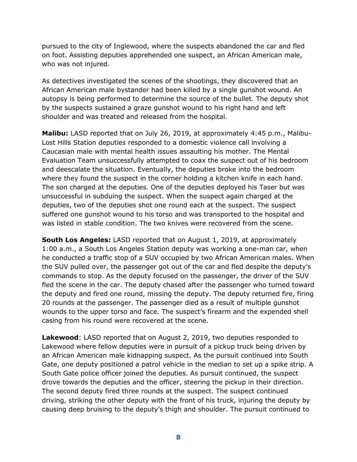pursued to the city of Inglewood, where the suspects abandoned the car and fled on foot. Assisting deputies apprehended one suspect, an African American male, who was not injured.

As detectives investigated the scenes of the shootings, they discovered that an African American male bystander had been killed by a single gunshot wound. An autopsy is being performed to determine the source of the bullet. The deputy shot by the suspects sustained a graze gunshot wound to his right hand and left shoulder and was treated and released from the hospital.

**Malibu:** LASD reported that on July 26, 2019, at approximately 4:45 p.m., Malibu-Lost Hills Station deputies responded to a domestic violence call involving a Caucasian male with mental health issues assaulting his mother. The Mental Evaluation Team unsuccessfully attempted to coax the suspect out of his bedroom and deescalate the situation. Eventually, the deputies broke into the bedroom where they found the suspect in the corner holding a kitchen knife in each hand. The son charged at the deputies. One of the deputies deployed his Taser but was unsuccessful in subduing the suspect. When the suspect again charged at the deputies, two of the deputies shot one round each at the suspect. The suspect suffered one gunshot wound to his torso and was transported to the hospital and was listed in stable condition. The two knives were recovered from the scene.

**South Los Angeles:** LASD reported that on August 1, 2019, at approximately 1:00 a.m., a South Los Angeles Station deputy was working a one-man car, when he conducted a traffic stop of a SUV occupied by two African American males. When the SUV pulled over, the passenger got out of the car and fled despite the deputy's commands to stop. As the deputy focused on the passenger, the driver of the SUV fled the scene in the car. The deputy chased after the passenger who turned toward the deputy and fired one round, missing the deputy. The deputy returned fire, firing 20 rounds at the passenger. The passenger died as a result of multiple gunshot wounds to the upper torso and face. The suspect's firearm and the expended shell casing from his round were recovered at the scene.

**Lakewood**: LASD reported that on August 2, 2019, two deputies responded to Lakewood where fellow deputies were in pursuit of a pickup truck being driven by an African American male kidnapping suspect. As the pursuit continued into South Gate, one deputy positioned a patrol vehicle in the median to set up a spike strip. A South Gate police officer joined the deputies. As pursuit continued, the suspect drove towards the deputies and the officer, steering the pickup in their direction. The second deputy fired three rounds at the suspect. The suspect continued driving, striking the other deputy with the front of his truck, injuring the deputy by causing deep bruising to the deputy's thigh and shoulder. The pursuit continued to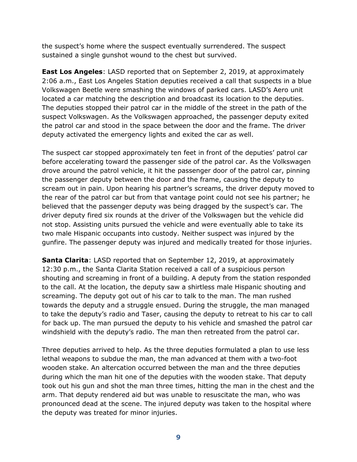the suspect's home where the suspect eventually surrendered. The suspect sustained a single gunshot wound to the chest but survived.

**East Los Angeles**: LASD reported that on September 2, 2019, at approximately 2:06 a.m., East Los Angeles Station deputies received a call that suspects in a blue Volkswagen Beetle were smashing the windows of parked cars. LASD's Aero unit located a car matching the description and broadcast its location to the deputies. The deputies stopped their patrol car in the middle of the street in the path of the suspect Volkswagen. As the Volkswagen approached, the passenger deputy exited the patrol car and stood in the space between the door and the frame. The driver deputy activated the emergency lights and exited the car as well.

The suspect car stopped approximately ten feet in front of the deputies' patrol car before accelerating toward the passenger side of the patrol car. As the Volkswagen drove around the patrol vehicle, it hit the passenger door of the patrol car, pinning the passenger deputy between the door and the frame, causing the deputy to scream out in pain. Upon hearing his partner's screams, the driver deputy moved to the rear of the patrol car but from that vantage point could not see his partner; he believed that the passenger deputy was being dragged by the suspect's car. The driver deputy fired six rounds at the driver of the Volkswagen but the vehicle did not stop. Assisting units pursued the vehicle and were eventually able to take its two male Hispanic occupants into custody. Neither suspect was injured by the gunfire. The passenger deputy was injured and medically treated for those injuries.

**Santa Clarita**: LASD reported that on September 12, 2019, at approximately 12:30 p.m., the Santa Clarita Station received a call of a suspicious person shouting and screaming in front of a building. A deputy from the station responded to the call. At the location, the deputy saw a shirtless male Hispanic shouting and screaming. The deputy got out of his car to talk to the man. The man rushed towards the deputy and a struggle ensued. During the struggle, the man managed to take the deputy's radio and Taser, causing the deputy to retreat to his car to call for back up. The man pursued the deputy to his vehicle and smashed the patrol car windshield with the deputy's radio. The man then retreated from the patrol car.

Three deputies arrived to help. As the three deputies formulated a plan to use less lethal weapons to subdue the man, the man advanced at them with a two-foot wooden stake. An altercation occurred between the man and the three deputies during which the man hit one of the deputies with the wooden stake. That deputy took out his gun and shot the man three times, hitting the man in the chest and the arm. That deputy rendered aid but was unable to resuscitate the man, who was pronounced dead at the scene. The injured deputy was taken to the hospital where the deputy was treated for minor injuries.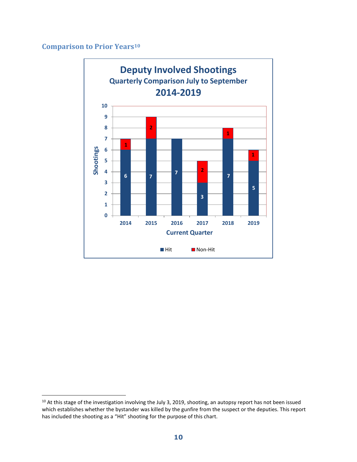# <span id="page-11-0"></span>**Comparison to Prior Years<sup>10</sup>**

 $\overline{a}$ 



<sup>&</sup>lt;sup>10</sup> At this stage of the investigation involving the July 3, 2019, shooting, an autopsy report has not been issued which establishes whether the bystander was killed by the gunfire from the suspect or the deputies. This report has included the shooting as a "Hit" shooting for the purpose of this chart.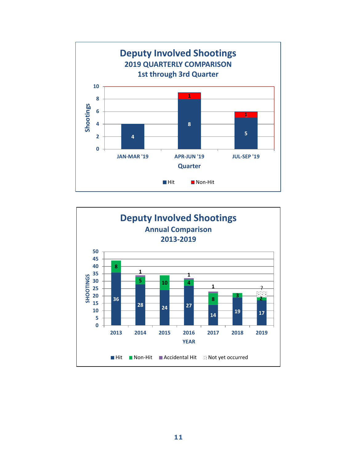

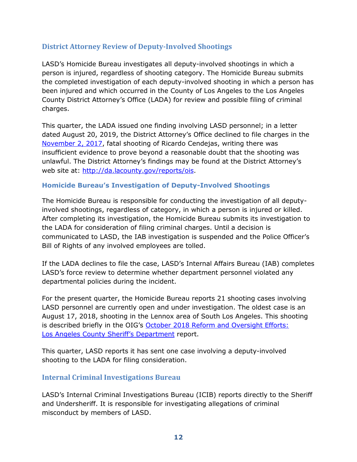### <span id="page-13-0"></span>**District Attorney Review of Deputy-Involved Shootings**

LASD's Homicide Bureau investigates all deputy-involved shootings in which a person is injured, regardless of shooting category. The Homicide Bureau submits the completed investigation of each deputy-involved shooting in which a person has been injured and which occurred in the County of Los Angeles to the Los Angeles County District Attorney's Office (LADA) for review and possible filing of criminal charges.

This quarter, the LADA issued one finding involving LASD personnel; in a letter dated August 20, 2019, the District Attorney's Office declined to file charges in the [November 2, 2017,](http://da.lacounty.gov/sites/default/files/pdf/JSID_OIS_0819_Cendejas.pdf) fatal shooting of Ricardo Cendejas, writing there was insufficient evidence to prove beyond a reasonable doubt that the shooting was unlawful. The District Attorney's findings may be found at the District Attorney's web site at: [http://da.lacounty.gov/reports/ois.](http://da.lacounty.gov/reports/ois)

#### <span id="page-13-1"></span>**Homicide Bureau's Investigation of Deputy-Involved Shootings**

The Homicide Bureau is responsible for conducting the investigation of all deputyinvolved shootings, regardless of category, in which a person is injured or killed. After completing its investigation, the Homicide Bureau submits its investigation to the LADA for consideration of filing criminal charges. Until a decision is communicated to LASD, the IAB investigation is suspended and the Police Officer's Bill of Rights of any involved employees are tolled.

If the LADA declines to file the case, LASD's Internal Affairs Bureau (IAB) completes LASD's force review to determine whether department personnel violated any departmental policies during the incident.

For the present quarter, the Homicide Bureau reports 21 shooting cases involving LASD personnel are currently open and under investigation. The oldest case is an August 17, 2018, shooting in the Lennox area of South Los Angeles. This shooting is described briefly in the OIG's [October 2018 Reform and Oversight Efforts:](https://oig.lacounty.gov/Portals/OIG/Reports/October%202018%20Reform%20and%20Oversight%20Efforts.pdf?ver=2018-10-31-093133-533)  Los [Angeles County Sheriff's Department](https://oig.lacounty.gov/Portals/OIG/Reports/October%202018%20Reform%20and%20Oversight%20Efforts.pdf?ver=2018-10-31-093133-533) report.

This quarter, LASD reports it has sent one case involving a deputy-involved shooting to the LADA for filing consideration.

#### <span id="page-13-2"></span>**Internal Criminal Investigations Bureau**

LASD's Internal Criminal Investigations Bureau (ICIB) reports directly to the Sheriff and Undersheriff. It is responsible for investigating allegations of criminal misconduct by members of LASD.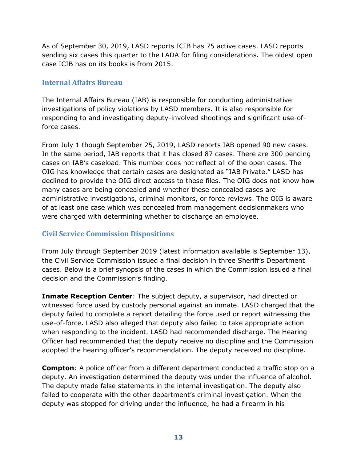As of September 30, 2019, LASD reports ICIB has 75 active cases. LASD reports sending six cases this quarter to the LADA for filing considerations. The oldest open case ICIB has on its books is from 2015.

#### <span id="page-14-0"></span>**Internal Affairs Bureau**

The Internal Affairs Bureau (IAB) is responsible for conducting administrative investigations of policy violations by LASD members. It is also responsible for responding to and investigating deputy-involved shootings and significant use-offorce cases.

From July 1 though September 25, 2019, LASD reports IAB opened 90 new cases. In the same period, IAB reports that it has closed 87 cases. There are 300 pending cases on IAB's caseload. This number does not reflect all of the open cases. The OIG has knowledge that certain cases are designated as "IAB Private." LASD has declined to provide the OIG direct access to these files. The OIG does not know how many cases are being concealed and whether these concealed cases are administrative investigations, criminal monitors, or force reviews. The OIG is aware of at least one case which was concealed from management decisionmakers who were charged with determining whether to discharge an employee.

#### <span id="page-14-1"></span>**Civil Service Commission Dispositions**

From July through September 2019 (latest information available is September 13), the Civil Service Commission issued a final decision in three Sheriff's Department cases. Below is a brief synopsis of the cases in which the Commission issued a final decision and the Commission's finding.

**Inmate Reception Center**: The subject deputy, a supervisor, had directed or witnessed force used by custody personal against an inmate. LASD charged that the deputy failed to complete a report detailing the force used or report witnessing the use-of-force. LASD also alleged that deputy also failed to take appropriate action when responding to the incident. LASD had recommended discharge. The Hearing Officer had recommended that the deputy receive no discipline and the Commission adopted the hearing officer's recommendation. The deputy received no discipline.

**Compton**: A police officer from a different department conducted a traffic stop on a deputy. An investigation determined the deputy was under the influence of alcohol. The deputy made false statements in the internal investigation. The deputy also failed to cooperate with the other department's criminal investigation. When the deputy was stopped for driving under the influence, he had a firearm in his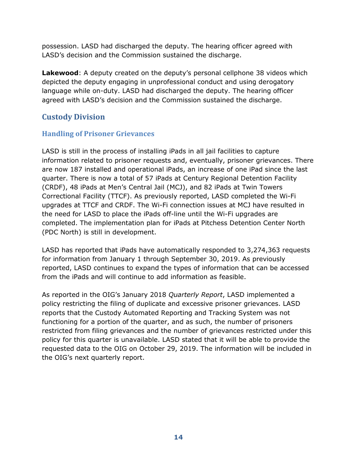possession. LASD had discharged the deputy. The hearing officer agreed with LASD's decision and the Commission sustained the discharge.

**Lakewood**: A deputy created on the deputy's personal cellphone 38 videos which depicted the deputy engaging in unprofessional conduct and using derogatory language while on-duty. LASD had discharged the deputy. The hearing officer agreed with LASD's decision and the Commission sustained the discharge.

# <span id="page-15-0"></span>**Custody Division**

## <span id="page-15-1"></span>**Handling of Prisoner Grievances**

LASD is still in the process of installing iPads in all jail facilities to capture information related to prisoner requests and, eventually, prisoner grievances. There are now 187 installed and operational iPads, an increase of one iPad since the last quarter. There is now a total of 57 iPads at Century Regional Detention Facility (CRDF), 48 iPads at Men's Central Jail (MCJ), and 82 iPads at Twin Towers Correctional Facility (TTCF). As previously reported, LASD completed the Wi-Fi upgrades at TTCF and CRDF. The Wi-Fi connection issues at MCJ have resulted in the need for LASD to place the iPads off-line until the Wi-Fi upgrades are completed. The implementation plan for iPads at Pitchess Detention Center North (PDC North) is still in development.

LASD has reported that iPads have automatically responded to 3,274,363 requests for information from January 1 through September 30, 2019. As previously reported, LASD continues to expand the types of information that can be accessed from the iPads and will continue to add information as feasible.

As reported in the OIG's January 2018 *Quarterly Report*, LASD implemented a policy restricting the filing of duplicate and excessive prisoner grievances. LASD reports that the Custody Automated Reporting and Tracking System was not functioning for a portion of the quarter, and as such, the number of prisoners restricted from filing grievances and the number of grievances restricted under this policy for this quarter is unavailable. LASD stated that it will be able to provide the requested data to the OIG on October 29, 2019. The information will be included in the OIG's next quarterly report.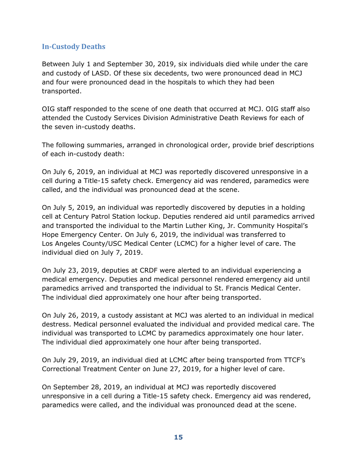### <span id="page-16-0"></span>**In-Custody Deaths**

Between July 1 and September 30, 2019, six individuals died while under the care and custody of LASD. Of these six decedents, two were pronounced dead in MCJ and four were pronounced dead in the hospitals to which they had been transported.

OIG staff responded to the scene of one death that occurred at MCJ. OIG staff also attended the Custody Services Division Administrative Death Reviews for each of the seven in-custody deaths.

The following summaries, arranged in chronological order, provide brief descriptions of each in-custody death:

On July 6, 2019, an individual at MCJ was reportedly discovered unresponsive in a cell during a Title-15 safety check. Emergency aid was rendered, paramedics were called, and the individual was pronounced dead at the scene.

On July 5, 2019, an individual was reportedly discovered by deputies in a holding cell at Century Patrol Station lockup. Deputies rendered aid until paramedics arrived and transported the individual to the Martin Luther King, Jr. Community Hospital's Hope Emergency Center. On July 6, 2019, the individual was transferred to Los Angeles County/USC Medical Center (LCMC) for a higher level of care. The individual died on July 7, 2019.

On July 23, 2019, deputies at CRDF were alerted to an individual experiencing a medical emergency. Deputies and medical personnel rendered emergency aid until paramedics arrived and transported the individual to St. Francis Medical Center. The individual died approximately one hour after being transported.

On July 26, 2019, a custody assistant at MCJ was alerted to an individual in medical destress. Medical personnel evaluated the individual and provided medical care. The individual was transported to LCMC by paramedics approximately one hour later. The individual died approximately one hour after being transported.

On July 29, 2019, an individual died at LCMC after being transported from TTCF's Correctional Treatment Center on June 27, 2019, for a higher level of care.

On September 28, 2019, an individual at MCJ was reportedly discovered unresponsive in a cell during a Title-15 safety check. Emergency aid was rendered, paramedics were called, and the individual was pronounced dead at the scene.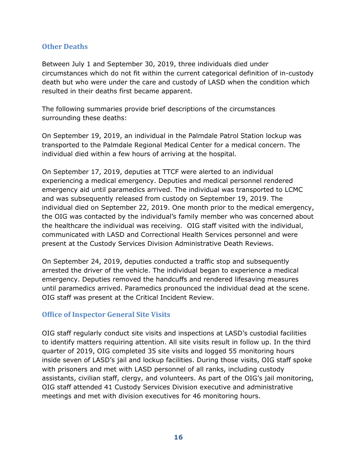#### <span id="page-17-0"></span>**Other Deaths**

Between July 1 and September 30, 2019, three individuals died under circumstances which do not fit within the current categorical definition of in-custody death but who were under the care and custody of LASD when the condition which resulted in their deaths first became apparent.

The following summaries provide brief descriptions of the circumstances surrounding these deaths:

On September 19, 2019, an individual in the Palmdale Patrol Station lockup was transported to the Palmdale Regional Medical Center for a medical concern. The individual died within a few hours of arriving at the hospital.

On September 17, 2019, deputies at TTCF were alerted to an individual experiencing a medical emergency. Deputies and medical personnel rendered emergency aid until paramedics arrived. The individual was transported to LCMC and was subsequently released from custody on September 19, 2019. The individual died on September 22, 2019. One month prior to the medical emergency, the OIG was contacted by the individual's family member who was concerned about the healthcare the individual was receiving. OIG staff visited with the individual, communicated with LASD and Correctional Health Services personnel and were present at the Custody Services Division Administrative Death Reviews.

On September 24, 2019, deputies conducted a traffic stop and subsequently arrested the driver of the vehicle. The individual began to experience a medical emergency. Deputies removed the handcuffs and rendered lifesaving measures until paramedics arrived. Paramedics pronounced the individual dead at the scene. OIG staff was present at the Critical Incident Review.

#### <span id="page-17-1"></span>**Office of Inspector General Site Visits**

OIG staff regularly conduct site visits and inspections at LASD's custodial facilities to identify matters requiring attention. All site visits result in follow up. In the third quarter of 2019, OIG completed 35 site visits and logged 55 monitoring hours inside seven of LASD's jail and lockup facilities. During those visits, OIG staff spoke with prisoners and met with LASD personnel of all ranks, including custody assistants, civilian staff, clergy, and volunteers. As part of the OIG's jail monitoring, OIG staff attended 41 Custody Services Division executive and administrative meetings and met with division executives for 46 monitoring hours.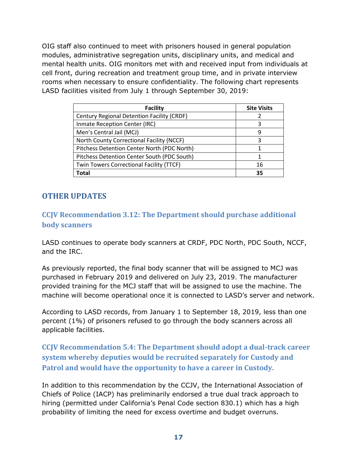OIG staff also continued to meet with prisoners housed in general population modules, administrative segregation units, disciplinary units, and medical and mental health units. OIG monitors met with and received input from individuals at cell front, during recreation and treatment group time, and in private interview rooms when necessary to ensure confidentiality. The following chart represents LASD facilities visited from July 1 through September 30, 2019:

| <b>Facility</b>                             | <b>Site Visits</b> |
|---------------------------------------------|--------------------|
| Century Regional Detention Facility (CRDF)  |                    |
| Inmate Reception Center (IRC)               | 3                  |
| Men's Central Jail (MCJ)                    | 9                  |
| North County Correctional Facility (NCCF)   | 3                  |
| Pitchess Detention Center North (PDC North) |                    |
| Pitchess Detention Center South (PDC South) |                    |
| Twin Towers Correctional Facility (TTCF)    | 16                 |
| <b>Total</b>                                | 35                 |

# <span id="page-18-0"></span>**OTHER UPDATES**

## <span id="page-18-1"></span>**CCJV Recommendation 3.12: The Department should purchase additional body scanners**

LASD continues to operate body scanners at CRDF, PDC North, PDC South, NCCF, and the IRC.

As previously reported, the final body scanner that will be assigned to MCJ was purchased in February 2019 and delivered on July 23, 2019. The manufacturer provided training for the MCJ staff that will be assigned to use the machine. The machine will become operational once it is connected to LASD's server and network.

According to LASD records, from January 1 to September 18, 2019, less than one percent (1%) of prisoners refused to go through the body scanners across all applicable facilities.

<span id="page-18-2"></span>**CCJV Recommendation 5.4: The Department should adopt a dual-track career system whereby deputies would be recruited separately for Custody and Patrol and would have the opportunity to have a career in Custody.**

In addition to this recommendation by the CCJV, the International Association of Chiefs of Police (IACP) has preliminarily endorsed a true dual track approach to hiring (permitted under California's Penal Code section 830.1) which has a high probability of limiting the need for excess overtime and budget overruns.